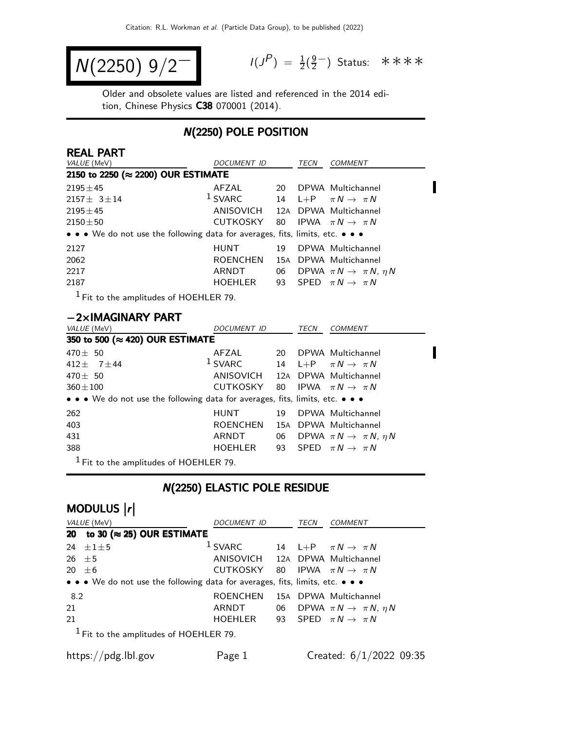$$
N(2250) 9/2^-
$$

 $P$ ) =  $\frac{1}{2}(\frac{9}{2})$ g−) Status: \*\*\*\*

Π

 $\blacksquare$ 

Older and obsolete values are listed and referenced in the 2014 edition, Chinese Physics C38 070001 (2014).

### N(2250) POLE POSITION

| <b>REAL PART</b>                                                                                                      |                    |     |      |                                           |
|-----------------------------------------------------------------------------------------------------------------------|--------------------|-----|------|-------------------------------------------|
| VALUE (MeV)                                                                                                           | DOCUMENT ID        |     | TECN | <b>COMMENT</b>                            |
| 2150 to 2250 (≈ 2200) OUR ESTIMATE                                                                                    |                    |     |      |                                           |
| $2195 \pm 45$                                                                                                         | AFZAL              | 20  |      | DPWA Multichannel                         |
| $2157 \pm 3 \pm 14$                                                                                                   | $1$ SVARC          |     |      | 14 L+P $\pi N \rightarrow \pi N$          |
| $2195 \pm 45$                                                                                                         | ANISOVICH          |     |      | 12A DPWA Multichannel                     |
| $2150 \pm 50$                                                                                                         | CUTKOSKY           | 80  |      | IPWA $\pi N \rightarrow \pi N$            |
| $\bullet \bullet \bullet$ We do not use the following data for averages, fits, limits, etc. $\bullet \bullet \bullet$ |                    |     |      |                                           |
| 2127                                                                                                                  | HUNT               | 19  |      | DPWA Multichannel                         |
| 2062                                                                                                                  | ROENCHEN           | 15A |      | DPWA Multichannel                         |
| 2217                                                                                                                  | ARNDT              | 06  |      | DPWA $\pi N \rightarrow \pi N$ , $\eta N$ |
| 2187                                                                                                                  | HOEHLER            | 93  |      | SPED $\pi N \rightarrow \pi N$            |
| $1$ Fit to the amplitudes of HOEHLER 79.                                                                              |                    |     |      |                                           |
| $-2\times$ IMAGINARY PART                                                                                             |                    |     |      |                                           |
| <i>VALUE</i> (MeV)                                                                                                    | <b>DOCUMENT ID</b> |     | TECN | <b>COMMENT</b>                            |
| 350 to 500 (≈ 420) OUR ESTIMATE                                                                                       |                    |     |      |                                           |
| $470 \pm 50$                                                                                                          | AFZAL              | 20  |      | DPWA Multichannel                         |
| $112 + 7 + 11$                                                                                                        | $1$ SVARC          | 11  |      | $I/D = \pi N \sqrt{\pi N}$                |

| $412 \pm 7 \pm 44$                                                            |         | <sup>1</sup> SVARC 14 L+P $\pi N \rightarrow \pi N$ |
|-------------------------------------------------------------------------------|---------|-----------------------------------------------------|
| 470 $\pm$ 50                                                                  |         | ANISOVICH 12A DPWA Multichannel                     |
| $360 \pm 100$                                                                 |         | CUTKOSKY 80 IPWA $\pi N \rightarrow \pi N$          |
| • • • We do not use the following data for averages, fits, limits, etc. • • • |         |                                                     |
| 262                                                                           |         | HUNT 19 DPWA Multichannel                           |
| 403                                                                           |         | ROENCHEN 15A DPWA Multichannel                      |
| 431                                                                           | ARNDT   | 06 DPWA $\pi N \rightarrow \pi N$ , $\eta N$        |
| 388                                                                           | HOEHLER | 93 SPED $\pi N \rightarrow \pi N$                   |
| $\blacksquare$                                                                |         |                                                     |

 $<sup>1</sup>$  Fit to the amplitudes of HOEHLER 79.</sup>

# N(2250) ELASTIC POLE RESIDUE

| VALUE (MeV)                           | DOCUMENT ID                                                                                                           |    | TECN | COMMENT                                   |
|---------------------------------------|-----------------------------------------------------------------------------------------------------------------------|----|------|-------------------------------------------|
| 20 to 30 ( $\approx$ 25) OUR ESTIMATE |                                                                                                                       |    |      |                                           |
| $+1+5$<br>24                          | $1$ SVARC                                                                                                             |    |      | 14 L+P $\pi N \rightarrow \pi N$          |
| $26 + 5$                              | ANISOVICH 12A DPWA Multichannel                                                                                       |    |      |                                           |
| 20 $\pm 6$                            | CUTKOSKY 80 IPWA $\pi N \rightarrow \pi N$                                                                            |    |      |                                           |
|                                       | $\bullet \bullet \bullet$ We do not use the following data for averages, fits, limits, etc. $\bullet \bullet \bullet$ |    |      |                                           |
| 8.2                                   | <b>ROENCHEN</b>                                                                                                       |    |      | 15A DPWA Multichannel                     |
| 21                                    | ARNDT                                                                                                                 | 06 |      | DPWA $\pi N \rightarrow \pi N$ , $\eta N$ |
|                                       | HOEHLER                                                                                                               |    |      | 93 SPED $\pi N \rightarrow \pi N$         |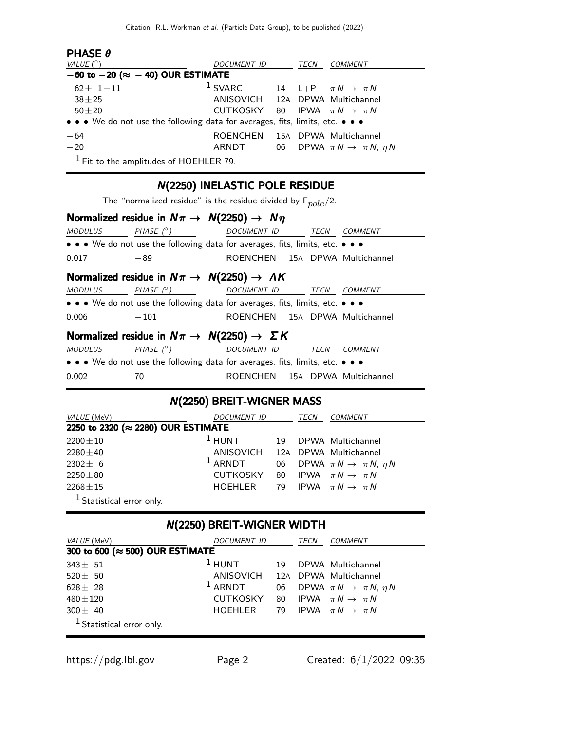| <b>PHASE <math>\theta</math></b>                                              |                                 |      |                                              |
|-------------------------------------------------------------------------------|---------------------------------|------|----------------------------------------------|
| VALUE $(^\circ)$                                                              | <b>DOCUMENT ID</b>              | TECN | COMMENT                                      |
| $-60$ to $-20$ ( $\approx -40$ ) OUR ESTIMATE                                 |                                 |      |                                              |
| $-62 \pm 1 \pm 11$                                                            | $1$ SVARC                       |      | 14 L+P $\pi N \rightarrow \pi N$             |
| $-38 + 25$                                                                    | ANISOVICH 12A DPWA Multichannel |      |                                              |
| $-50\pm 20$                                                                   | CUTKOSKY                        |      | 80 IPWA $\pi N \rightarrow \pi N$            |
| • • • We do not use the following data for averages, fits, limits, etc. • • • |                                 |      |                                              |
| $-64$                                                                         | ROENCHEN                        |      | 15A DPWA Multichannel                        |
| $-20$                                                                         | ARNDT                           |      | 06 DPWA $\pi N \rightarrow \pi N$ , $\eta N$ |
| $1$ Fit to the amplitudes of HOEHLER 79.                                      |                                 |      |                                              |

# N(2250) INELASTIC POLE RESIDUE

The "normalized residue" is the residue divided by  $\Gamma_{pole}/2$ .

|                |                  | Normalized residue in $N\pi \rightarrow N(2250) \rightarrow N\eta$            |      |                       |  |
|----------------|------------------|-------------------------------------------------------------------------------|------|-----------------------|--|
| <b>MODULUS</b> | PHASE $(^\circ)$ | <b>DOCUMENT ID</b>                                                            | TECN | <b>COMMENT</b>        |  |
|                |                  | • • • We do not use the following data for averages, fits, limits, etc. • • • |      |                       |  |
| 0.017          | $-89$            | ROENCHEN 15A DPWA Multichannel                                                |      |                       |  |
|                |                  | Normalized residue in $N\pi \rightarrow N(2250) \rightarrow AK$               |      |                       |  |
| <b>MODULUS</b> | PHASE $(^\circ)$ | <b>DOCUMENT ID</b>                                                            | TECN | <b>COMMENT</b>        |  |
|                |                  | • • • We do not use the following data for averages, fits, limits, etc. • • • |      |                       |  |
| 0.006          | $-101$           | ROENCHEN 15A DPWA Multichannel                                                |      |                       |  |
|                |                  | Normalized residue in $N\pi \rightarrow N(2250) \rightarrow \Sigma K$         |      |                       |  |
| <b>MODULUS</b> | PHASE $(^\circ)$ | <b>DOCUMENT ID</b>                                                            | TECN | <b>COMMENT</b>        |  |
|                |                  | • • • We do not use the following data for averages, fits, limits, etc. • • • |      |                       |  |
| 0.002          | 70               | ROENCHEN                                                                      |      | 15A DPWA Multichannel |  |

# N(2250) BREIT-WIGNER MASS

| VALUE (MeV)                        | DOCUMENT ID                     |      | TECN | COMMENT                                   |
|------------------------------------|---------------------------------|------|------|-------------------------------------------|
| 2250 to 2320 (≈ 2280) OUR ESTIMATE |                                 |      |      |                                           |
| $2200 \pm 10$                      | $1$ HUNT                        | 19   |      | DPWA Multichannel                         |
| $2280 \pm 40$                      | ANISOVICH 12A DPWA Multichannel |      |      |                                           |
| $2302 \pm 6$                       | $1$ ARNDT                       | 06   |      | DPWA $\pi N \rightarrow \pi N$ , $\eta N$ |
| $2250 \pm 80$                      | <b>CUTKOSKY</b>                 | - 80 |      | IPWA $\pi N \rightarrow \pi N$            |
| $2268 \pm 15$                      | HOFHI FR                        |      |      | 79 IPWA $\pi N \rightarrow \pi N$         |
| $1$ Statistical error only.        |                                 |      |      |                                           |

# N(2250) BREIT-WIGNER WIDTH

| VALUE (MeV)                          | <i>DOCUMENT ID</i>              |    | TECN | COMMENT                                      |
|--------------------------------------|---------------------------------|----|------|----------------------------------------------|
| 300 to 600 (≈ 500) OUR ESTIMATE      |                                 |    |      |                                              |
| $343 + 51$                           | $1$ HUNT                        | 19 |      | DPWA Multichannel                            |
| $520 \pm 50$                         | ANISOVICH 12A DPWA Multichannel |    |      |                                              |
| $628 \pm 28$                         | $1$ ARNDT                       |    |      | 06 DPWA $\pi N \rightarrow \pi N$ , $\eta N$ |
| $480 \pm 120$                        | CUTKOSKY                        |    |      | 80 IPWA $\pi N \rightarrow \pi N$            |
| $300 \pm 40$                         | HOEHLER                         |    |      | 79 IPWA $\pi N \rightarrow \pi N$            |
| <sup>1</sup> Statistical error only. |                                 |    |      |                                              |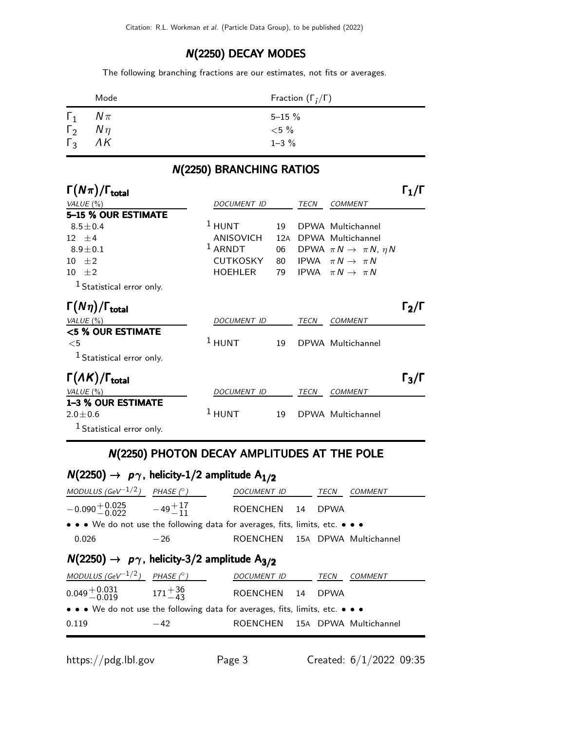### N(2250) DECAY MODES

The following branching fractions are our estimates, not fits or averages.

|            | Mode               | Fraction $(\Gamma_i/\Gamma)$ |
|------------|--------------------|------------------------------|
| $\Gamma_1$ | $N\pi$             | $5 - 15 \%$                  |
|            | $\Gamma_2$ $N\eta$ | ${<}5\%$                     |
| $\Gamma_3$ | $\Lambda K$        | $1 - 3 \%$                   |

### Γ $(N\pi)/\Gamma_{\text{total}}$  Γ $_1/\Gamma$  $\Gamma_1/\Gamma$ VALUE (%)  $DOCUMENT$  ID TECN COMMENT 5–15 % OUR ESTIMATE  $8.5 \pm 0.4$ <sup>1</sup> HUNT 19 DPWA Multichannel 12  $\pm$ 4 ANISOVICH 12A DPWA Multichannel<br>8.9 $\pm$ 0.1 1 ARNDT 06 DPWA  $\pi N \rightarrow \pi N$ ,  $8.9 \pm 0.1$ 06 DPWA  $\pi N \rightarrow \pi N$ ,  $\eta N$ 10  $\pm$ 2 CUTKOSKY 80 IPWA  $\pi N \rightarrow \pi N$ 10  $\pm 2$  HOEHLER 79 IPWA  $\pi N \rightarrow \pi N$  $1$  Statistical error only.  $\Gamma(N\eta)/\Gamma_{\rm total}$  Γ<sub>2</sub>/Γ VALUE (%) DOCUMENT ID TECN COMMENT <5 % OUR ESTIMATE  $<$ 5 <sup>1</sup> HUNT 19 DPWA Multichannel <sup>1</sup> Statistical error only. Γ(ΛΚ)/Γ<sub>total</sub> Γ<sub>3</sub>/Γ VALUE (%) DOCUMENT ID TECN COMMENT 1–3 % OUR ESTIMATE  $2.0 \pm 0.6$ <sup>1</sup> HUNT 19 DPWA Multichannel 1 Statistical error only.

# N(2250) BRANCHING RATIOS

### N(2250) PHOTON DECAY AMPLITUDES AT THE POLE

# $N(2250) \rightarrow p\gamma$ , helicity-1/2 amplitude  $A_{1/2}$

| MODULUS (GeV $^{-1/2}$ ) PHASE (° )                                           |       | DOCUMENT ID TECN               |             | <b>COMMENT</b> |
|-------------------------------------------------------------------------------|-------|--------------------------------|-------------|----------------|
| $-0.090 + 0.025 -49 + 17 - 11$                                                |       | ROENCHEN 14                    | <b>DPWA</b> |                |
| • • • We do not use the following data for averages, fits, limits, etc. • • • |       |                                |             |                |
| 0.026                                                                         | $-26$ | ROENCHEN 15A DPWA Multichannel |             |                |
|                                                                               |       |                                |             |                |
| $N(2250) \rightarrow p\gamma$ , helicity-3/2 amplitude A <sub>3/2</sub>       |       |                                |             |                |
| MODULUS (GeV $^{-1/2}$ ) PHASE (°)                                            |       | DOCUMENT ID TECN               |             | <b>COMMENT</b> |
| $0.049 + 0.031$ $171 + 36$<br>$171 - 43$                                      |       | ROENCHEN 14                    | <b>DPWA</b> |                |
| • • • We do not use the following data for averages, fits, limits, etc. • • • |       |                                |             |                |